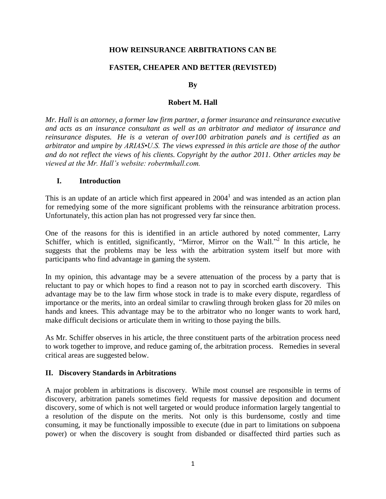#### **HOW REINSURANCE ARBITRATIONS CAN BE**

## **FASTER, CHEAPER AND BETTER (REVISTED)**

#### **By**

#### **Robert M. Hall**

*Mr. Hall is an attorney, a former law firm partner, a former insurance and reinsurance executive and acts as an insurance consultant as well as an arbitrator and mediator of insurance and reinsurance disputes. He is a veteran of over100 arbitration panels and is certified as an arbitrator and umpire by ARIAS•U.S. The views expressed in this article are those of the author and do not reflect the views of his clients. Copyright by the author 2011. Other articles may be viewed at the Mr. Hall's website: robertmhall.com.*

#### **I. Introduction**

This is an update of an article which first appeared in  $2004<sup>1</sup>$  and was intended as an action plan for remedying some of the more significant problems with the reinsurance arbitration process. Unfortunately, this action plan has not progressed very far since then.

One of the reasons for this is identified in an article authored by noted commenter, Larry Schiffer, which is entitled, significantly, "Mirror, Mirror on the Wall."<sup>2</sup> In this article, he suggests that the problems may be less with the arbitration system itself but more with participants who find advantage in gaming the system.

In my opinion, this advantage may be a severe attenuation of the process by a party that is reluctant to pay or which hopes to find a reason not to pay in scorched earth discovery. This advantage may be to the law firm whose stock in trade is to make every dispute, regardless of importance or the merits, into an ordeal similar to crawling through broken glass for 20 miles on hands and knees. This advantage may be to the arbitrator who no longer wants to work hard, make difficult decisions or articulate them in writing to those paying the bills.

As Mr. Schiffer observes in his article, the three constituent parts of the arbitration process need to work together to improve, and reduce gaming of, the arbitration process. Remedies in several critical areas are suggested below.

#### **II. Discovery Standards in Arbitrations**

A major problem in arbitrations is discovery. While most counsel are responsible in terms of discovery, arbitration panels sometimes field requests for massive deposition and document discovery, some of which is not well targeted or would produce information largely tangential to a resolution of the dispute on the merits. Not only is this burdensome, costly and time consuming, it may be functionally impossible to execute (due in part to limitations on subpoena power) or when the discovery is sought from disbanded or disaffected third parties such as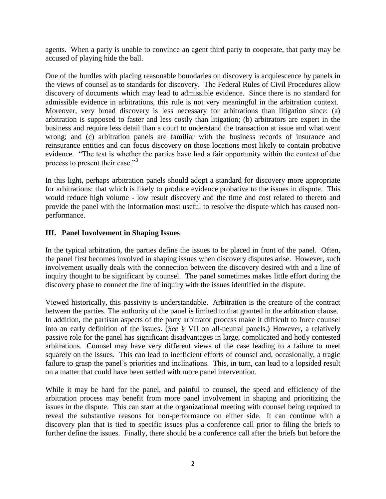agents. When a party is unable to convince an agent third party to cooperate, that party may be accused of playing hide the ball.

One of the hurdles with placing reasonable boundaries on discovery is acquiescence by panels in the views of counsel as to standards for discovery. The Federal Rules of Civil Procedures allow discovery of documents which may lead to admissible evidence. Since there is no standard for admissible evidence in arbitrations, this rule is not very meaningful in the arbitration context. Moreover, very broad discovery is less necessary for arbitrations than litigation since: (a) arbitration is supposed to faster and less costly than litigation; (b) arbitrators are expert in the business and require less detail than a court to understand the transaction at issue and what went wrong; and (c) arbitration panels are familiar with the business records of insurance and reinsurance entities and can focus discovery on those locations most likely to contain probative evidence. "The test is whether the parties have had a fair opportunity within the context of due process to present their case."<sup>3</sup>

In this light, perhaps arbitration panels should adopt a standard for discovery more appropriate for arbitrations: that which is likely to produce evidence probative to the issues in dispute. This would reduce high volume - low result discovery and the time and cost related to thereto and provide the panel with the information most useful to resolve the dispute which has caused nonperformance.

# **III. Panel Involvement in Shaping Issues**

In the typical arbitration, the parties define the issues to be placed in front of the panel. Often, the panel first becomes involved in shaping issues when discovery disputes arise. However, such involvement usually deals with the connection between the discovery desired with and a line of inquiry thought to be significant by counsel. The panel sometimes makes little effort during the discovery phase to connect the line of inquiry with the issues identified in the dispute.

Viewed historically, this passivity is understandable. Arbitration is the creature of the contract between the parties. The authority of the panel is limited to that granted in the arbitration clause. In addition, the partisan aspects of the party arbitrator process make it difficult to force counsel into an early definition of the issues. (*See* § VII on all-neutral panels.) However, a relatively passive role for the panel has significant disadvantages in large, complicated and hotly contested arbitrations. Counsel may have very different views of the case leading to a failure to meet squarely on the issues. This can lead to inefficient efforts of counsel and, occasionally, a tragic failure to grasp the panel's priorities and inclinations. This, in turn, can lead to a lopsided result on a matter that could have been settled with more panel intervention.

While it may be hard for the panel, and painful to counsel, the speed and efficiency of the arbitration process may benefit from more panel involvement in shaping and prioritizing the issues in the dispute. This can start at the organizational meeting with counsel being required to reveal the substantive reasons for non-performance on either side. It can continue with a discovery plan that is tied to specific issues plus a conference call prior to filing the briefs to further define the issues. Finally, there should be a conference call after the briefs but before the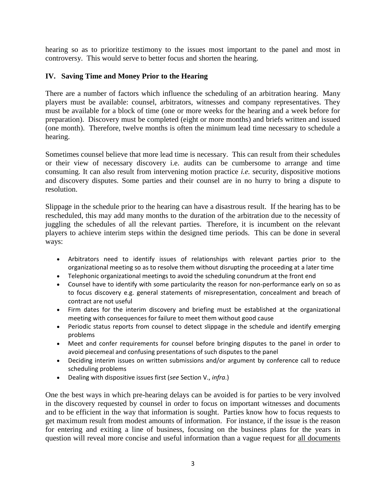hearing so as to prioritize testimony to the issues most important to the panel and most in controversy. This would serve to better focus and shorten the hearing.

## **IV. Saving Time and Money Prior to the Hearing**

There are a number of factors which influence the scheduling of an arbitration hearing. Many players must be available: counsel, arbitrators, witnesses and company representatives. They must be available for a block of time (one or more weeks for the hearing and a week before for preparation). Discovery must be completed (eight or more months) and briefs written and issued (one month). Therefore, twelve months is often the minimum lead time necessary to schedule a hearing.

Sometimes counsel believe that more lead time is necessary. This can result from their schedules or their view of necessary discovery i.e. audits can be cumbersome to arrange and time consuming. It can also result from intervening motion practice *i.e.* security, dispositive motions and discovery disputes. Some parties and their counsel are in no hurry to bring a dispute to resolution.

Slippage in the schedule prior to the hearing can have a disastrous result. If the hearing has to be rescheduled, this may add many months to the duration of the arbitration due to the necessity of juggling the schedules of all the relevant parties. Therefore, it is incumbent on the relevant players to achieve interim steps within the designed time periods. This can be done in several ways:

- Arbitrators need to identify issues of relationships with relevant parties prior to the organizational meeting so as to resolve them without disrupting the proceeding at a later time
- Telephonic organizational meetings to avoid the scheduling conundrum at the front end
- Counsel have to identify with some particularity the reason for non-performance early on so as to focus discovery e.g. general statements of misrepresentation, concealment and breach of contract are not useful
- Firm dates for the interim discovery and briefing must be established at the organizational meeting with consequences for failure to meet them without good cause
- Periodic status reports from counsel to detect slippage in the schedule and identify emerging problems
- Meet and confer requirements for counsel before bringing disputes to the panel in order to avoid piecemeal and confusing presentations of such disputes to the panel
- Deciding interim issues on written submissions and/or argument by conference call to reduce scheduling problems
- Dealing with dispositive issues first (*see* Section V., *infra*.)

One the best ways in which pre-hearing delays can be avoided is for parties to be very involved in the discovery requested by counsel in order to focus on important witnesses and documents and to be efficient in the way that information is sought. Parties know how to focus requests to get maximum result from modest amounts of information. For instance, if the issue is the reason for entering and exiting a line of business, focusing on the business plans for the years in question will reveal more concise and useful information than a vague request for all documents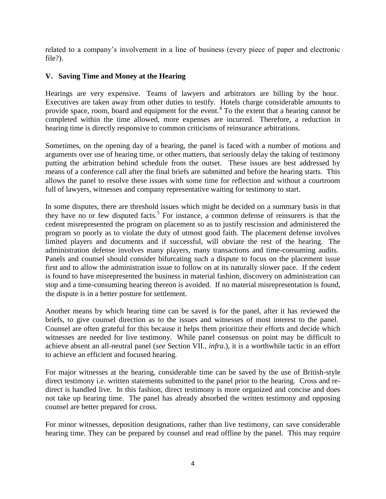related to a company's involvement in a line of business (every piece of paper and electronic file?).

## **V. Saving Time and Money at the Hearing**

Hearings are very expensive. Teams of lawyers and arbitrators are billing by the hour. Executives are taken away from other duties to testify. Hotels charge considerable amounts to provide space, room, board and equipment for the event.<sup>4</sup> To the extent that a hearing cannot be completed within the time allowed, more expenses are incurred. Therefore, a reduction in hearing time is directly responsive to common criticisms of reinsurance arbitrations.

Sometimes, on the opening day of a hearing, the panel is faced with a number of motions and arguments over use of hearing time, or other matters, that seriously delay the taking of testimony putting the arbitration behind schedule from the outset. These issues are best addressed by means of a conference call after the final briefs are submitted and before the hearing starts. This allows the panel to resolve these issues with some time for reflection and without a courtroom full of lawyers, witnesses and company representative waiting for testimony to start.

In some disputes, there are threshold issues which might be decided on a summary basis in that they have no or few disputed facts.<sup>5</sup> For instance, a common defense of reinsurers is that the cedent misrepresented the program on placement so as to justify rescission and administered the program so poorly as to violate the duty of utmost good faith. The placement defense involves limited players and documents and if successful, will obviate the rest of the hearing. The administration defense involves many players, many transactions and time-consuming audits. Panels and counsel should consider bifurcating such a dispute to focus on the placement issue first and to allow the administration issue to follow on at its naturally slower pace. If the cedent is found to have misrepresented the business in material fashion, discovery on administration can stop and a time-consuming hearing thereon is avoided. If no material misrepresentation is found, the dispute is in a better posture for settlement.

Another means by which hearing time can be saved is for the panel, after it has reviewed the briefs, to give counsel direction as to the issues and witnesses of most interest to the panel. Counsel are often grateful for this because it helps them prioritize their efforts and decide which witnesses are needed for live testimony. While panel consensus on point may be difficult to achieve absent an all-neutral panel (*see* Section VII.*, infra.*), it is a worthwhile tactic in an effort to achieve an efficient and focused hearing.

For major witnesses at the hearing, considerable time can be saved by the use of British-style direct testimony i.e. written statements submitted to the panel prior to the hearing. Cross and redirect is handled live. In this fashion, direct testimony is more organized and concise and does not take up hearing time. The panel has already absorbed the written testimony and opposing counsel are better prepared for cross.

For minor witnesses, deposition designations, rather than live testimony, can save considerable hearing time. They can be prepared by counsel and read offline by the panel. This may require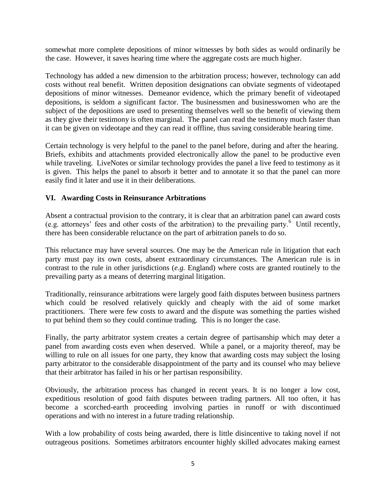somewhat more complete depositions of minor witnesses by both sides as would ordinarily be the case. However, it saves hearing time where the aggregate costs are much higher.

Technology has added a new dimension to the arbitration process; however, technology can add costs without real benefit. Written deposition designations can obviate segments of videotaped depositions of minor witnesses. Demeanor evidence, which the primary benefit of videotaped depositions, is seldom a significant factor. The businessmen and businesswomen who are the subject of the depositions are used to presenting themselves well so the benefit of viewing them as they give their testimony is often marginal. The panel can read the testimony much faster than it can be given on videotape and they can read it offline, thus saving considerable hearing time.

Certain technology is very helpful to the panel to the panel before, during and after the hearing. Briefs, exhibits and attachments provided electronically allow the panel to be productive even while traveling. LiveNotes or similar technology provides the panel a live feed to testimony as it is given. This helps the panel to absorb it better and to annotate it so that the panel can more easily find it later and use it in their deliberations.

# **VI. Awarding Costs in Reinsurance Arbitrations**

Absent a contractual provision to the contrary, it is clear that an arbitration panel can award costs (e.g. attorneys' fees and other costs of the arbitration) to the prevailing party.<sup>6</sup> Until recently, there has been considerable reluctance on the part of arbitration panels to do so.

This reluctance may have several sources. One may be the American rule in litigation that each party must pay its own costs, absent extraordinary circumstances. The American rule is in contrast to the rule in other jurisdictions (*e.g.* England) where costs are granted routinely to the prevailing party as a means of deterring marginal litigation.

Traditionally, reinsurance arbitrations were largely good faith disputes between business partners which could be resolved relatively quickly and cheaply with the aid of some market practitioners. There were few costs to award and the dispute was something the parties wished to put behind them so they could continue trading. This is no longer the case.

Finally, the party arbitrator system creates a certain degree of partisanship which may deter a panel from awarding costs even when deserved. While a panel, or a majority thereof, may be willing to rule on all issues for one party, they know that awarding costs may subject the losing party arbitrator to the considerable disappointment of the party and its counsel who may believe that their arbitrator has failed in his or her partisan responsibility.

Obviously, the arbitration process has changed in recent years. It is no longer a low cost, expeditious resolution of good faith disputes between trading partners. All too often, it has become a scorched-earth proceeding involving parties in runoff or with discontinued operations and with no interest in a future trading relationship.

With a low probability of costs being awarded, there is little disincentive to taking novel if not outrageous positions. Sometimes arbitrators encounter highly skilled advocates making earnest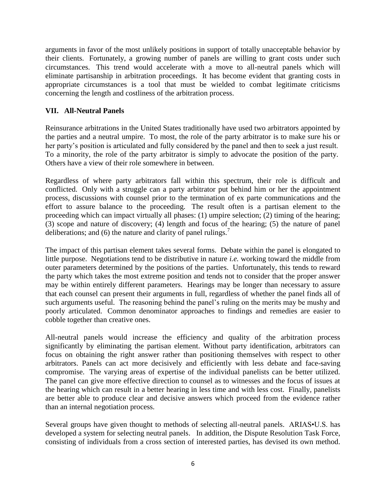arguments in favor of the most unlikely positions in support of totally unacceptable behavior by their clients. Fortunately, a growing number of panels are willing to grant costs under such circumstances. This trend would accelerate with a move to all-neutral panels which will eliminate partisanship in arbitration proceedings. It has become evident that granting costs in appropriate circumstances is a tool that must be wielded to combat legitimate criticisms concerning the length and costliness of the arbitration process.

## **VII. All-Neutral Panels**

Reinsurance arbitrations in the United States traditionally have used two arbitrators appointed by the parties and a neutral umpire. To most, the role of the party arbitrator is to make sure his or her party's position is articulated and fully considered by the panel and then to seek a just result. To a minority, the role of the party arbitrator is simply to advocate the position of the party. Others have a view of their role somewhere in between.

Regardless of where party arbitrators fall within this spectrum, their role is difficult and conflicted. Only with a struggle can a party arbitrator put behind him or her the appointment process, discussions with counsel prior to the termination of ex parte communications and the effort to assure balance to the proceeding. The result often is a partisan element to the proceeding which can impact virtually all phases: (1) umpire selection; (2) timing of the hearing; (3) scope and nature of discovery; (4) length and focus of the hearing; (5) the nature of panel deliberations; and (6) the nature and clarity of panel rulings.<sup>7</sup>

The impact of this partisan element takes several forms. Debate within the panel is elongated to little purpose. Negotiations tend to be distributive in nature *i.e.* working toward the middle from outer parameters determined by the positions of the parties. Unfortunately, this tends to reward the party which takes the most extreme position and tends not to consider that the proper answer may be within entirely different parameters. Hearings may be longer than necessary to assure that each counsel can present their arguments in full, regardless of whether the panel finds all of such arguments useful. The reasoning behind the panel's ruling on the merits may be mushy and poorly articulated. Common denominator approaches to findings and remedies are easier to cobble together than creative ones.

All-neutral panels would increase the efficiency and quality of the arbitration process significantly by eliminating the partisan element. Without party identification, arbitrators can focus on obtaining the right answer rather than positioning themselves with respect to other arbitrators. Panels can act more decisively and efficiently with less debate and face-saving compromise. The varying areas of expertise of the individual panelists can be better utilized. The panel can give more effective direction to counsel as to witnesses and the focus of issues at the hearing which can result in a better hearing in less time and with less cost. Finally, panelists are better able to produce clear and decisive answers which proceed from the evidence rather than an internal negotiation process.

Several groups have given thought to methods of selecting all-neutral panels. ARIAS•U.S. has developed a system for selecting neutral panels. In addition, the Dispute Resolution Task Force, consisting of individuals from a cross section of interested parties, has devised its own method.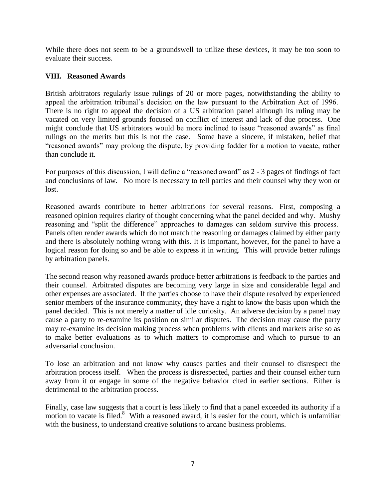While there does not seem to be a groundswell to utilize these devices, it may be too soon to evaluate their success.

## **VIII. Reasoned Awards**

British arbitrators regularly issue rulings of 20 or more pages, notwithstanding the ability to appeal the arbitration tribunal's decision on the law pursuant to the Arbitration Act of 1996. There is no right to appeal the decision of a US arbitration panel although its ruling may be vacated on very limited grounds focused on conflict of interest and lack of due process. One might conclude that US arbitrators would be more inclined to issue "reasoned awards" as final rulings on the merits but this is not the case. Some have a sincere, if mistaken, belief that "reasoned awards" may prolong the dispute, by providing fodder for a motion to vacate, rather than conclude it.

For purposes of this discussion, I will define a "reasoned award" as 2 - 3 pages of findings of fact and conclusions of law. No more is necessary to tell parties and their counsel why they won or lost.

Reasoned awards contribute to better arbitrations for several reasons. First, composing a reasoned opinion requires clarity of thought concerning what the panel decided and why. Mushy reasoning and "split the difference" approaches to damages can seldom survive this process. Panels often render awards which do not match the reasoning or damages claimed by either party and there is absolutely nothing wrong with this. It is important, however, for the panel to have a logical reason for doing so and be able to express it in writing. This will provide better rulings by arbitration panels.

The second reason why reasoned awards produce better arbitrations is feedback to the parties and their counsel. Arbitrated disputes are becoming very large in size and considerable legal and other expenses are associated. If the parties choose to have their dispute resolved by experienced senior members of the insurance community, they have a right to know the basis upon which the panel decided. This is not merely a matter of idle curiosity. An adverse decision by a panel may cause a party to re-examine its position on similar disputes. The decision may cause the party may re-examine its decision making process when problems with clients and markets arise so as to make better evaluations as to which matters to compromise and which to pursue to an adversarial conclusion.

To lose an arbitration and not know why causes parties and their counsel to disrespect the arbitration process itself. When the process is disrespected, parties and their counsel either turn away from it or engage in some of the negative behavior cited in earlier sections. Either is detrimental to the arbitration process.

Finally, case law suggests that a court is less likely to find that a panel exceeded its authority if a motion to vacate is filed.<sup>8</sup> With a reasoned award, it is easier for the court, which is unfamiliar with the business, to understand creative solutions to arcane business problems.